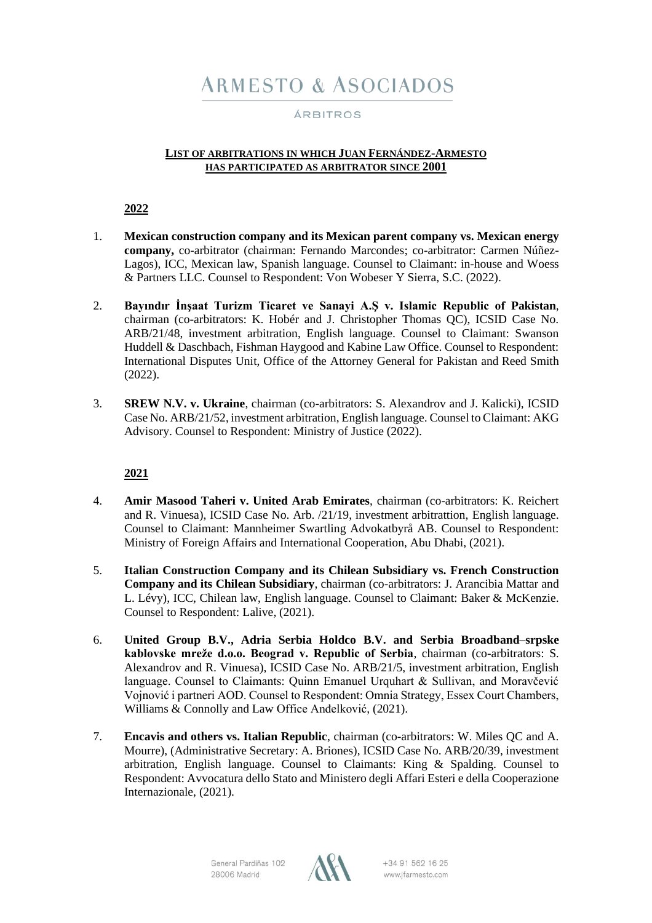# **ARMESTO & ASOCIADOS**

# ÁRBITROS

### **LIST OF ARBITRATIONS IN WHICH JUAN FERNÁNDEZ-ARMESTO HAS PARTICIPATED AS ARBITRATOR SINCE 2001**

**2022**

- 1. **Mexican construction company and its Mexican parent company vs. Mexican energy company,** co-arbitrator (chairman: Fernando Marcondes; co-arbitrator: Carmen Núñez-Lagos), ICC, Mexican law, Spanish language. Counsel to Claimant: in-house and Woess & Partners LLC. Counsel to Respondent: Von Wobeser Y Sierra, S.C. (2022).
- 2. **Bayındır İnşaat Turizm Ticaret ve Sanayi A.Ş v. Islamic Republic of Pakistan**, chairman (co-arbitrators: K. Hobér and J. Christopher Thomas QC), ICSID Case No. ARB/21/48, investment arbitration, English language. Counsel to Claimant: Swanson Huddell & Daschbach, Fishman Haygood and Kabine Law Office. Counsel to Respondent: International Disputes Unit, Office of the Attorney General for Pakistan and Reed Smith (2022).
- 3. **SREW N.V. v. Ukraine**, chairman (co-arbitrators: S. Alexandrov and J. Kalicki), ICSID Case No. ARB/21/52, investment arbitration, English language. Counsel to Claimant: AKG Advisory. Counsel to Respondent: Ministry of Justice (2022).

- 4. **Amir Masood Taheri v. United Arab Emirates**, chairman (co-arbitrators: K. Reichert and R. Vinuesa), ICSID Case No. Arb. /21/19, investment arbitrattion, English language. Counsel to Claimant: Mannheimer Swartling Advokatbyrå AB. Counsel to Respondent: Ministry of Foreign Affairs and International Cooperation, Abu Dhabi, (2021).
- 5. **Italian Construction Company and its Chilean Subsidiary vs. French Construction Company and its Chilean Subsidiary**, chairman (co-arbitrators: J. Arancibia Mattar and L. Lévy), ICC, Chilean law, English language. Counsel to Claimant: Baker & McKenzie. Counsel to Respondent: Lalive, (2021).
- 6. **United Group B.V., Adria Serbia Holdco B.V. and Serbia Broadband–srpske kablovske mreže d.o.o. Beograd v. Republic of Serbia**, chairman (co-arbitrators: S. Alexandrov and R. Vinuesa), ICSID Case No. ARB/21/5, investment arbitration, English language. Counsel to Claimants: Quinn Emanuel Urquhart & Sullivan, and Moravčević Vojnović i partneri AOD. Counsel to Respondent: Omnia Strategy, Essex Court Chambers, Williams & Connolly and Law Office Anđelković, (2021).
- 7. **Encavis and others vs. Italian Republic**, chairman (co-arbitrators: W. Miles QC and A. Mourre), (Administrative Secretary: A. Briones), ICSID Case No. ARB/20/39, investment arbitration, English language. Counsel to Claimants: King & Spalding. Counsel to Respondent: Avvocatura dello Stato and Ministero degli Affari Esteri e della Cooperazione Internazionale, (2021).

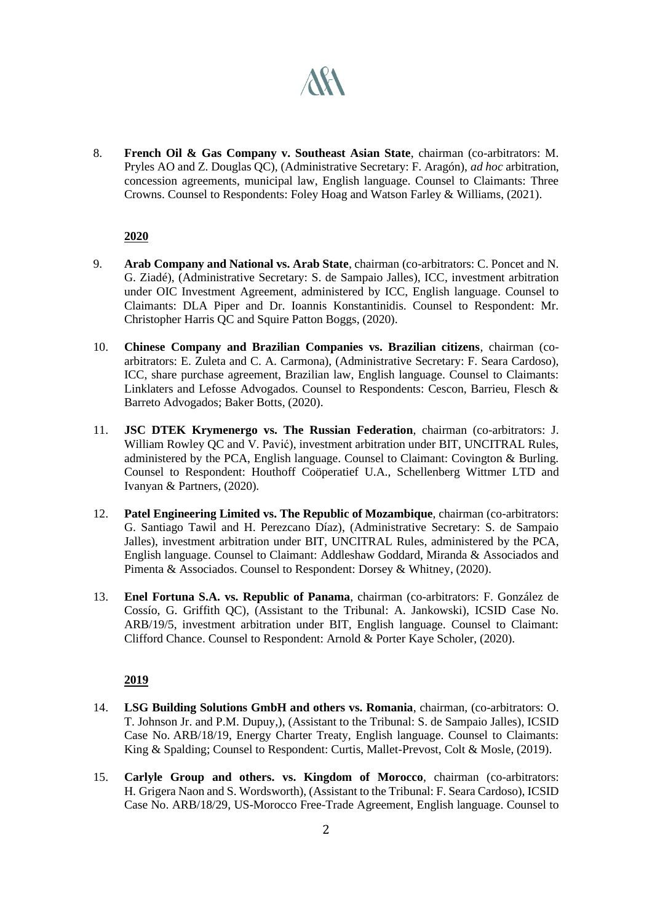# **AKA**

8. **French Oil & Gas Company v. Southeast Asian State**, chairman (co-arbitrators: M. Pryles AO and Z. Douglas QC), (Administrative Secretary: F. Aragón), *ad hoc* arbitration, concession agreements, municipal law, English language. Counsel to Claimants: Three Crowns. Counsel to Respondents: Foley Hoag and Watson Farley & Williams, (2021).

# **2020**

- 9. **Arab Company and National vs. Arab State**, chairman (co-arbitrators: C. Poncet and N. G. Ziadé), (Administrative Secretary: S. de Sampaio Jalles), ICC, investment arbitration under OIC Investment Agreement, administered by ICC, English language. Counsel to Claimants: DLA Piper and Dr. Ioannis Konstantinidis. Counsel to Respondent: Mr. Christopher Harris QC and Squire Patton Boggs, (2020).
- 10. **Chinese Company and Brazilian Companies vs. Brazilian citizens**, chairman (coarbitrators: E. Zuleta and C. A. Carmona), (Administrative Secretary: F. Seara Cardoso), ICC, share purchase agreement, Brazilian law, English language. Counsel to Claimants: Linklaters and Lefosse Advogados. Counsel to Respondents: Cescon, Barrieu, Flesch & Barreto Advogados; Baker Botts, (2020).
- 11. **JSC DTEK Krymenergo vs. The Russian Federation**, chairman (co-arbitrators: J. William Rowley QC and V. Pavić), investment arbitration under BIT, UNCITRAL Rules, administered by the PCA, English language. Counsel to Claimant: Covington & Burling. Counsel to Respondent: Houthoff Coöperatief U.A., Schellenberg Wittmer LTD and Ivanyan & Partners, (2020).
- 12. **Patel Engineering Limited vs. The Republic of Mozambique**, chairman (co-arbitrators: G. Santiago Tawil and H. Perezcano Díaz), (Administrative Secretary: S. de Sampaio Jalles), investment arbitration under BIT, UNCITRAL Rules, administered by the PCA, English language. Counsel to Claimant: Addleshaw Goddard, Miranda & Associados and Pimenta & Associados. Counsel to Respondent: Dorsey & Whitney, (2020).
- 13. **Enel Fortuna S.A. vs. Republic of Panama**, chairman (co-arbitrators: F. González de Cossío, G. Griffith QC), (Assistant to the Tribunal: A. Jankowski), ICSID Case No. ARB/19/5, investment arbitration under BIT, English language. Counsel to Claimant: Clifford Chance. Counsel to Respondent: Arnold & Porter Kaye Scholer, (2020).

- 14. **LSG Building Solutions GmbH and others vs. Romania**, chairman, (co-arbitrators: O. T. Johnson Jr. and P.M. Dupuy,), (Assistant to the Tribunal: S. de Sampaio Jalles), ICSID Case No. ARB/18/19, Energy Charter Treaty, English language. Counsel to Claimants: King & Spalding; Counsel to Respondent: Curtis, Mallet-Prevost, Colt & Mosle, (2019).
- 15. **Carlyle Group and others. vs. Kingdom of Morocco**, chairman (co-arbitrators: H. Grigera Naon and S. Wordsworth), (Assistant to the Tribunal: F. Seara Cardoso), ICSID Case No. ARB/18/29, US-Morocco Free-Trade Agreement, English language. Counsel to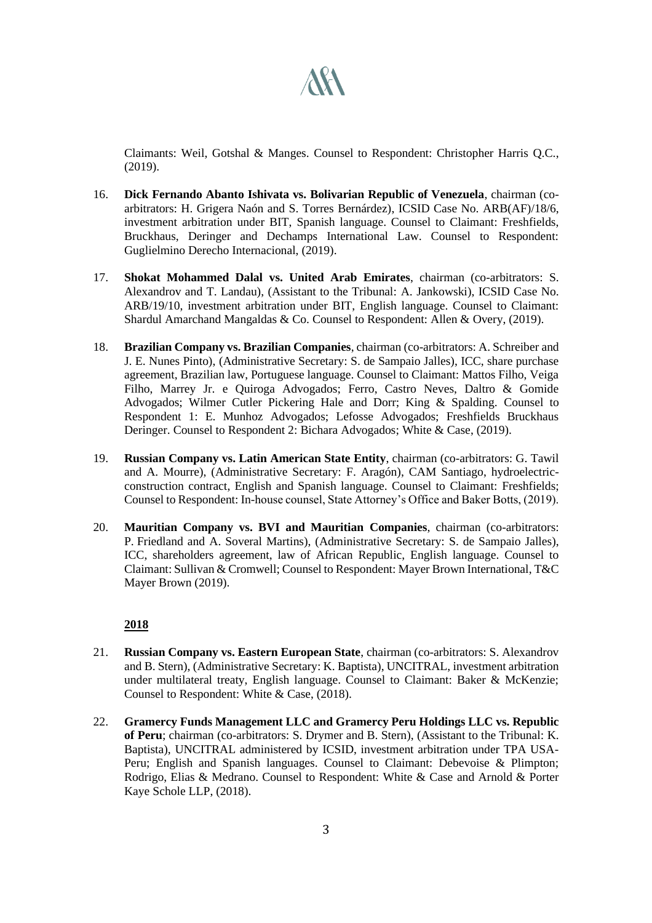

Claimants: Weil, Gotshal & Manges. Counsel to Respondent: Christopher Harris Q.C., (2019).

- 16. **Dick Fernando Abanto Ishivata vs. Bolivarian Republic of Venezuela**, chairman (coarbitrators: H. Grigera Naón and S. Torres Bernárdez), ICSID Case No. ARB(AF)/18/6, investment arbitration under BIT, Spanish language. Counsel to Claimant: Freshfields, Bruckhaus, Deringer and Dechamps International Law. Counsel to Respondent: Guglielmino Derecho Internacional, (2019).
- 17. **Shokat Mohammed Dalal vs. United Arab Emirates**, chairman (co-arbitrators: S. Alexandrov and T. Landau), (Assistant to the Tribunal: A. Jankowski), ICSID Case No. ARB/19/10, investment arbitration under BIT, English language. Counsel to Claimant: Shardul Amarchand Mangaldas & Co. Counsel to Respondent: Allen & Overy, (2019).
- 18. **Brazilian Company vs. Brazilian Companies**, chairman (co-arbitrators: A. Schreiber and J. E. Nunes Pinto), (Administrative Secretary: S. de Sampaio Jalles), ICC, share purchase agreement, Brazilian law, Portuguese language. Counsel to Claimant: Mattos Filho, Veiga Filho, Marrey Jr. e Quiroga Advogados; Ferro, Castro Neves, Daltro & Gomide Advogados; Wilmer Cutler Pickering Hale and Dorr; King & Spalding. Counsel to Respondent 1: E. Munhoz Advogados; Lefosse Advogados; Freshfields Bruckhaus Deringer. Counsel to Respondent 2: Bichara Advogados; White & Case, (2019).
- 19. **Russian Company vs. Latin American State Entity**, chairman (co-arbitrators: G. Tawil and A. Mourre), (Administrative Secretary: F. Aragón), CAM Santiago, hydroelectricconstruction contract, English and Spanish language. Counsel to Claimant: Freshfields; Counsel to Respondent: In-house counsel, State Attorney's Office and Baker Botts, (2019).
- 20. **Mauritian Company vs. BVI and Mauritian Companies**, chairman (co-arbitrators: P. Friedland and A. Soveral Martins), (Administrative Secretary: S. de Sampaio Jalles), ICC, shareholders agreement, law of African Republic, English language. Counsel to Claimant: Sullivan & Cromwell; Counsel to Respondent: Mayer Brown International, T&C Mayer Brown (2019).

- 21. **Russian Company vs. Eastern European State**, chairman (co-arbitrators: S. Alexandrov and B. Stern), (Administrative Secretary: K. Baptista), UNCITRAL, investment arbitration under multilateral treaty, English language. Counsel to Claimant: Baker & McKenzie; Counsel to Respondent: White & Case, (2018).
- 22. **Gramercy Funds Management LLC and Gramercy Peru Holdings LLC vs. Republic of Peru**; chairman (co-arbitrators: S. Drymer and B. Stern), (Assistant to the Tribunal: K. Baptista), UNCITRAL administered by ICSID, investment arbitration under TPA USA-Peru; English and Spanish languages. Counsel to Claimant: Debevoise & Plimpton; Rodrigo, Elias & Medrano. Counsel to Respondent: White & Case and Arnold & Porter Kaye Schole LLP, (2018).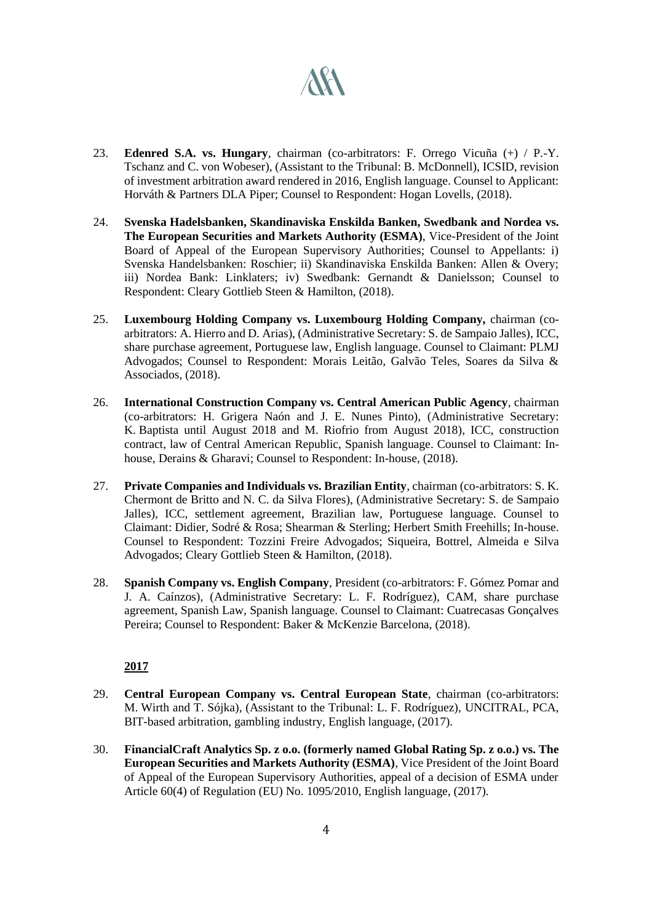# **ART**

- 23. **Edenred S.A. vs. Hungary**, chairman (co-arbitrators: F. Orrego Vicuña (+) / P.-Y. Tschanz and C. von Wobeser), (Assistant to the Tribunal: B. McDonnell), ICSID, revision of investment arbitration award rendered in 2016, English language. Counsel to Applicant: Horváth & Partners DLA Piper; Counsel to Respondent: Hogan Lovells, (2018).
- 24. **Svenska Hadelsbanken, Skandinaviska Enskilda Banken, Swedbank and Nordea vs. The European Securities and Markets Authority (ESMA)**, Vice-President of the Joint Board of Appeal of the European Supervisory Authorities; Counsel to Appellants: i) Svenska Handelsbanken: Roschier; ii) Skandinaviska Enskilda Banken: Allen & Overy; iii) Nordea Bank: Linklaters; iv) Swedbank: Gernandt & Danielsson; Counsel to Respondent: Cleary Gottlieb Steen & Hamilton, (2018).
- 25. **Luxembourg Holding Company vs. Luxembourg Holding Company,** chairman (coarbitrators: A. Hierro and D. Arias), (Administrative Secretary: S. de Sampaio Jalles), ICC, share purchase agreement, Portuguese law, English language. Counsel to Claimant: PLMJ Advogados; Counsel to Respondent: Morais Leitão, Galvão Teles, Soares da Silva & Associados, (2018).
- 26. **International Construction Company vs. Central American Public Agency**, chairman (co-arbitrators: H. Grigera Naón and J. E. Nunes Pinto), (Administrative Secretary: K. Baptista until August 2018 and M. Riofrio from August 2018), ICC, construction contract, law of Central American Republic, Spanish language. Counsel to Claimant: Inhouse, Derains & Gharavi; Counsel to Respondent: In-house, (2018).
- 27. **Private Companies and Individuals vs. Brazilian Entity**, chairman (co-arbitrators: S. K. Chermont de Britto and N. C. da Silva Flores), (Administrative Secretary: S. de Sampaio Jalles), ICC, settlement agreement, Brazilian law, Portuguese language. Counsel to Claimant: Didier, Sodré & Rosa; Shearman & Sterling; Herbert Smith Freehills; In-house. Counsel to Respondent: Tozzini Freire Advogados; Siqueira, Bottrel, Almeida e Silva Advogados; Cleary Gottlieb Steen & Hamilton, (2018).
- 28. **Spanish Company vs. English Company**, President (co-arbitrators: F. Gómez Pomar and J. A. Caínzos), (Administrative Secretary: L. F. Rodríguez), CAM, share purchase agreement, Spanish Law, Spanish language. Counsel to Claimant: Cuatrecasas Gonçalves Pereira; Counsel to Respondent: Baker & McKenzie Barcelona, (2018).

- 29. **Central European Company vs. Central European State**, chairman (co-arbitrators: M. Wirth and T. Sójka), (Assistant to the Tribunal: L. F. Rodríguez), UNCITRAL, PCA, BIT-based arbitration, gambling industry, English language, (2017).
- 30. **FinancialCraft Analytics Sp. z o.o. (formerly named Global Rating Sp. z o.o.) vs. The European Securities and Markets Authority (ESMA)**, Vice President of the Joint Board of Appeal of the European Supervisory Authorities, appeal of a decision of ESMA under Article 60(4) of Regulation (EU) No. 1095/2010, English language, (2017).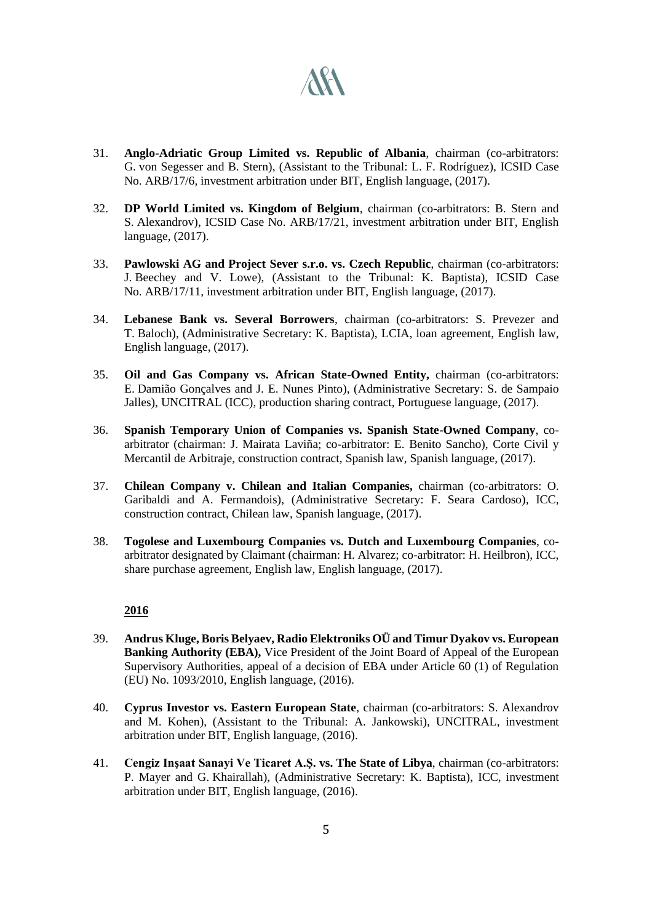

- 31. **Anglo-Adriatic Group Limited vs. Republic of Albania**, chairman (co-arbitrators: G. von Segesser and B. Stern), (Assistant to the Tribunal: L. F. Rodríguez), ICSID Case No. ARB/17/6, investment arbitration under BIT, English language, (2017).
- 32. **DP World Limited vs. Kingdom of Belgium**, chairman (co-arbitrators: B. Stern and S. Alexandrov), ICSID Case No. ARB/17/21, investment arbitration under BIT, English language, (2017).
- 33. **Pawlowski AG and Project Sever s.r.o. vs. Czech Republic**, chairman (co-arbitrators: J. Beechey and V. Lowe), (Assistant to the Tribunal: K. Baptista), ICSID Case No. ARB/17/11, investment arbitration under BIT, English language, (2017).
- 34. **Lebanese Bank vs. Several Borrowers**, chairman (co-arbitrators: S. Prevezer and T. Baloch), (Administrative Secretary: K. Baptista), LCIA, loan agreement, English law, English language, (2017).
- 35. **Oil and Gas Company vs. African State-Owned Entity,** chairman (co-arbitrators: E. Damião Gonçalves and J. E. Nunes Pinto), (Administrative Secretary: S. de Sampaio Jalles), UNCITRAL (ICC), production sharing contract, Portuguese language, (2017).
- 36. **Spanish Temporary Union of Companies vs. Spanish State-Owned Company**, coarbitrator (chairman: J. Mairata Laviña; co-arbitrator: E. Benito Sancho), Corte Civil y Mercantil de Arbitraje, construction contract, Spanish law, Spanish language, (2017).
- 37. **Chilean Company v. Chilean and Italian Companies,** chairman (co-arbitrators: O. Garibaldi and A. Fermandois), (Administrative Secretary: F. Seara Cardoso), ICC, construction contract, Chilean law, Spanish language, (2017).
- 38. **Togolese and Luxembourg Companies vs. Dutch and Luxembourg Companies**, coarbitrator designated by Claimant (chairman: H. Alvarez; co-arbitrator: H. Heilbron), ICC, share purchase agreement, English law, English language, (2017).

- 39. **Andrus Kluge, Boris Belyaev, Radio Elektroniks OÜ and Timur Dyakov vs. European Banking Authority (EBA),** Vice President of the Joint Board of Appeal of the European Supervisory Authorities, appeal of a decision of EBA under Article 60 (1) of Regulation (EU) No. 1093/2010, English language, (2016).
- 40. **Cyprus Investor vs. Eastern European State**, chairman (co-arbitrators: S. Alexandrov and M. Kohen), (Assistant to the Tribunal: A. Jankowski), UNCITRAL, investment arbitration under BIT, English language, (2016).
- 41. **Cengiz Inşaat Sanayi Ve Ticaret A.Ş. vs. The State of Libya**, chairman (co-arbitrators: P. Mayer and G. Khairallah), (Administrative Secretary: K. Baptista), ICC, investment arbitration under BIT, English language, (2016).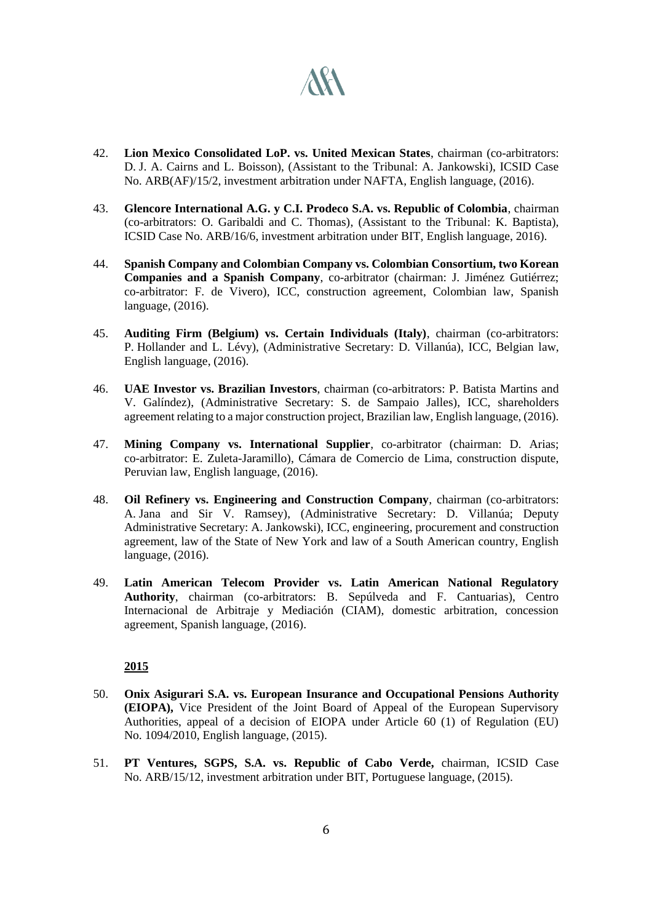

- 42. **Lion Mexico Consolidated LoP. vs. United Mexican States**, chairman (co-arbitrators: D. J. A. Cairns and L. Boisson), (Assistant to the Tribunal: A. Jankowski), ICSID Case No. ARB(AF)/15/2, investment arbitration under NAFTA, English language, (2016).
- 43. **Glencore International A.G. y C.I. Prodeco S.A. vs. Republic of Colombia**, chairman (co-arbitrators: O. Garibaldi and C. Thomas), (Assistant to the Tribunal: K. Baptista), ICSID Case No. ARB/16/6, investment arbitration under BIT, English language, 2016).
- 44. **Spanish Company and Colombian Company vs. Colombian Consortium, two Korean Companies and a Spanish Company**, co-arbitrator (chairman: J. Jiménez Gutiérrez; co-arbitrator: F. de Vivero), ICC, construction agreement, Colombian law, Spanish language, (2016).
- 45. **Auditing Firm (Belgium) vs. Certain Individuals (Italy)**, chairman (co-arbitrators: P. Hollander and L. Lévy), (Administrative Secretary: D. Villanúa), ICC, Belgian law, English language, (2016).
- 46. **UAE Investor vs. Brazilian Investors**, chairman (co-arbitrators: P. Batista Martins and V. Galíndez), (Administrative Secretary: S. de Sampaio Jalles), ICC, shareholders agreement relating to a major construction project, Brazilian law, English language, (2016).
- 47. **Mining Company vs. International Supplier**, co-arbitrator (chairman: D. Arias; co-arbitrator: E. Zuleta-Jaramillo), Cámara de Comercio de Lima, construction dispute, Peruvian law, English language, (2016).
- 48. **Oil Refinery vs. Engineering and Construction Company**, chairman (co-arbitrators: A. Jana and Sir V. Ramsey), (Administrative Secretary: D. Villanúa; Deputy Administrative Secretary: A. Jankowski), ICC, engineering, procurement and construction agreement, law of the State of New York and law of a South American country, English language, (2016).
- 49. **Latin American Telecom Provider vs. Latin American National Regulatory Authority**, chairman (co-arbitrators: B. Sepúlveda and F. Cantuarias), Centro Internacional de Arbitraje y Mediación (CIAM), domestic arbitration, concession agreement, Spanish language, (2016).

- 50. **Onix Asigurari S.A. vs. European Insurance and Occupational Pensions Authority (EIOPA),** Vice President of the Joint Board of Appeal of the European Supervisory Authorities, appeal of a decision of EIOPA under Article 60 (1) of Regulation (EU) No. 1094/2010, English language, (2015).
- 51. **PT Ventures, SGPS, S.A. vs. Republic of Cabo Verde,** chairman, ICSID Case No. ARB/15/12, investment arbitration under BIT, Portuguese language, (2015).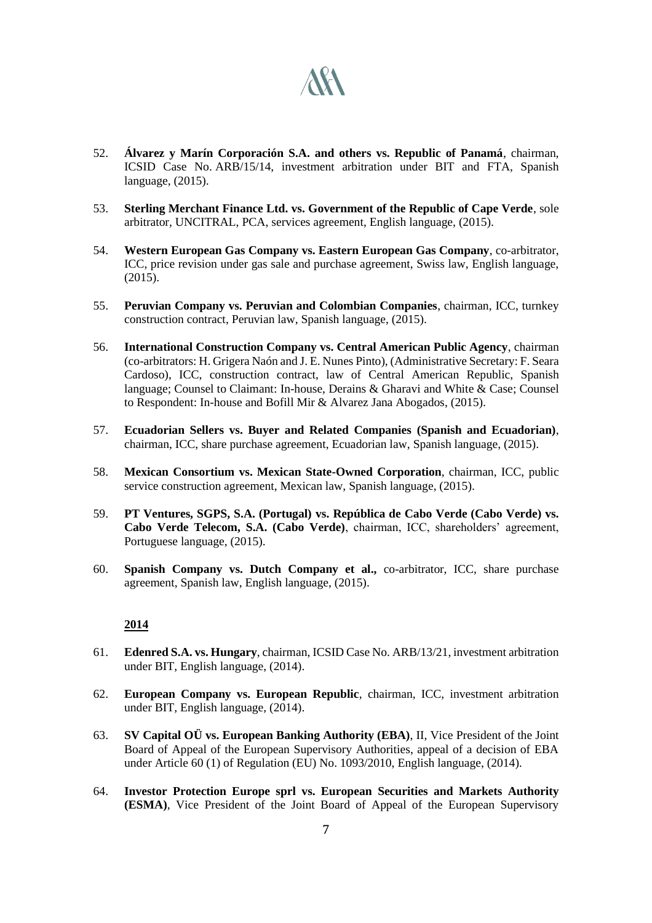

- 52. **Álvarez y Marín Corporación S.A. and others vs. Republic of Panamá**, chairman, ICSID Case No. ARB/15/14, investment arbitration under BIT and FTA, Spanish language, (2015).
- 53. **Sterling Merchant Finance Ltd. vs. Government of the Republic of Cape Verde**, sole arbitrator, UNCITRAL, PCA, services agreement, English language, (2015).
- 54. **Western European Gas Company vs. Eastern European Gas Company**, co-arbitrator, ICC, price revision under gas sale and purchase agreement, Swiss law, English language, (2015).
- 55. **Peruvian Company vs. Peruvian and Colombian Companies**, chairman, ICC, turnkey construction contract, Peruvian law, Spanish language, (2015).
- 56. **International Construction Company vs. Central American Public Agency**, chairman (co-arbitrators: H. Grigera Naón and J. E. Nunes Pinto), (Administrative Secretary: F. Seara Cardoso), ICC, construction contract, law of Central American Republic, Spanish language; Counsel to Claimant: In-house, Derains & Gharavi and White & Case; Counsel to Respondent: In-house and Bofill Mir & Alvarez Jana Abogados, (2015).
- 57. **Ecuadorian Sellers vs. Buyer and Related Companies (Spanish and Ecuadorian)**, chairman, ICC, share purchase agreement, Ecuadorian law, Spanish language, (2015).
- 58. **Mexican Consortium vs. Mexican State-Owned Corporation**, chairman, ICC, public service construction agreement, Mexican law, Spanish language, (2015).
- 59. **PT Ventures, SGPS, S.A. (Portugal) vs. República de Cabo Verde (Cabo Verde) vs. Cabo Verde Telecom, S.A. (Cabo Verde)**, chairman, ICC, shareholders' agreement, Portuguese language, (2015).
- 60. **Spanish Company vs. Dutch Company et al.,** co-arbitrator, ICC, share purchase agreement, Spanish law, English language, (2015).

- 61. **Edenred S.A. vs. Hungary**, chairman, ICSID Case No. ARB/13/21, investment arbitration under BIT, English language, (2014).
- 62. **European Company vs. European Republic**, chairman, ICC, investment arbitration under BIT, English language, (2014).
- 63. **SV Capital OÜ vs. European Banking Authority (EBA)**, II, Vice President of the Joint Board of Appeal of the European Supervisory Authorities, appeal of a decision of EBA under Article 60 (1) of Regulation (EU) No. 1093/2010, English language, (2014).
- 64. **Investor Protection Europe sprl vs. European Securities and Markets Authority (ESMA)**, Vice President of the Joint Board of Appeal of the European Supervisory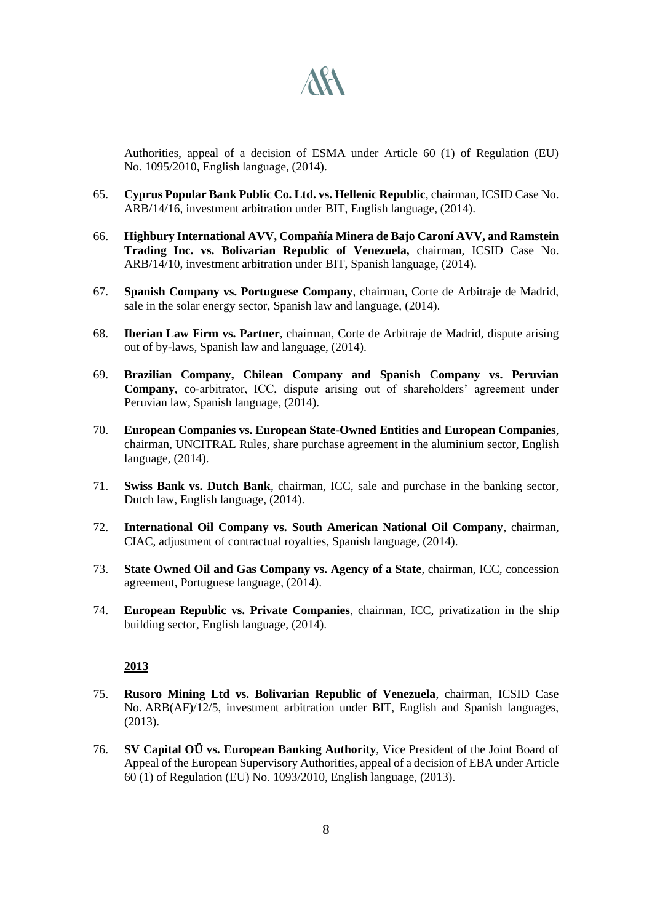

Authorities, appeal of a decision of ESMA under Article 60 (1) of Regulation (EU) No. 1095/2010, English language, (2014).

- 65. **Cyprus Popular Bank Public Co. Ltd. vs. Hellenic Republic**, chairman, ICSID Case No. ARB/14/16, investment arbitration under BIT, English language, (2014).
- 66. **Highbury International AVV, Compañía Minera de Bajo Caroní AVV, and Ramstein Trading Inc. vs. Bolivarian Republic of Venezuela,** chairman, ICSID Case No. ARB/14/10, investment arbitration under BIT, Spanish language, (2014).
- 67. **Spanish Company vs. Portuguese Company**, chairman, Corte de Arbitraje de Madrid, sale in the solar energy sector, Spanish law and language, (2014).
- 68. **Iberian Law Firm vs. Partner**, chairman, Corte de Arbitraje de Madrid, dispute arising out of by-laws, Spanish law and language, (2014).
- 69. **Brazilian Company, Chilean Company and Spanish Company vs. Peruvian Company**, co-arbitrator, ICC, dispute arising out of shareholders' agreement under Peruvian law, Spanish language, (2014).
- 70. **European Companies vs. European State-Owned Entities and European Companies**, chairman, UNCITRAL Rules, share purchase agreement in the aluminium sector, English language, (2014).
- 71. **Swiss Bank vs. Dutch Bank**, chairman, ICC, sale and purchase in the banking sector, Dutch law, English language, (2014).
- 72. **International Oil Company vs. South American National Oil Company**, chairman, CIAC, adjustment of contractual royalties, Spanish language, (2014).
- 73. **State Owned Oil and Gas Company vs. Agency of a State**, chairman, ICC, concession agreement, Portuguese language, (2014).
- 74. **European Republic vs. Private Companies**, chairman, ICC, privatization in the ship building sector, English language, (2014).

- 75. **Rusoro Mining Ltd vs. Bolivarian Republic of Venezuela**, chairman, ICSID Case No. ARB(AF)/12/5, investment arbitration under BIT, English and Spanish languages, (2013).
- 76. **SV Capital OÜ vs. European Banking Authority**, Vice President of the Joint Board of Appeal of the European Supervisory Authorities, appeal of a decision of EBA under Article 60 (1) of Regulation (EU) No. 1093/2010, English language, (2013).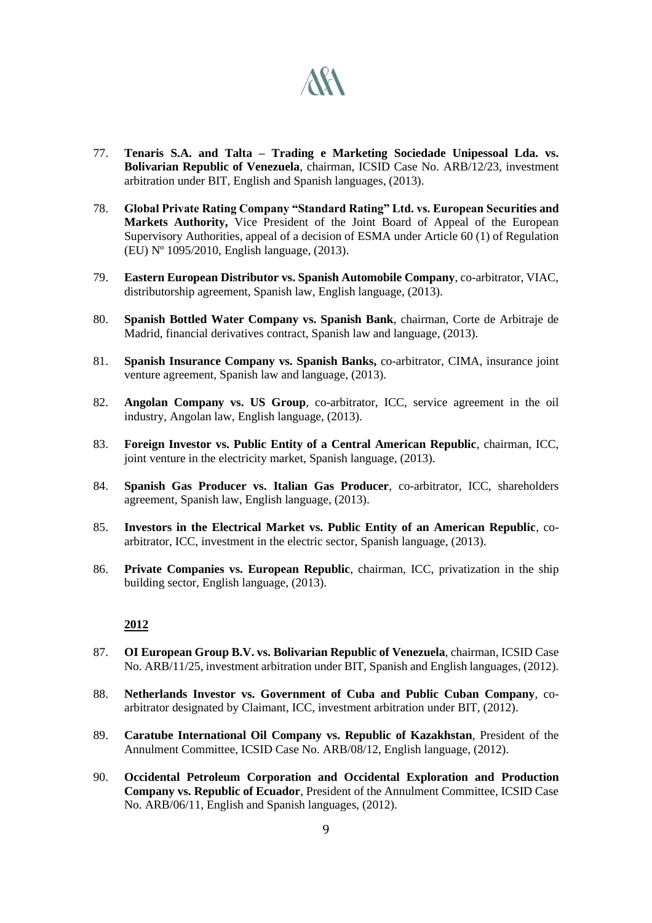

- 77. **Tenaris S.A. and Talta – Trading e Marketing Sociedade Unipessoal Lda. vs. Bolivarian Republic of Venezuela**, chairman, ICSID Case No. ARB/12/23, investment arbitration under BIT, English and Spanish languages, (2013).
- 78. **Global Private Rating Company "Standard Rating" Ltd. vs. European Securities and Markets Authority,** Vice President of the Joint Board of Appeal of the European Supervisory Authorities, appeal of a decision of ESMA under Article 60 (1) of Regulation (EU) Nº 1095/2010, English language, (2013).
- 79. **Eastern European Distributor vs. Spanish Automobile Company**, co-arbitrator, VIAC, distributorship agreement, Spanish law, English language, (2013).
- 80. **Spanish Bottled Water Company vs. Spanish Bank**, chairman, Corte de Arbitraje de Madrid, financial derivatives contract, Spanish law and language, (2013).
- 81. **Spanish Insurance Company vs. Spanish Banks,** co-arbitrator, CIMA, insurance joint venture agreement, Spanish law and language, (2013).
- 82. **Angolan Company vs. US Group**, co-arbitrator, ICC, service agreement in the oil industry, Angolan law, English language, (2013).
- 83. **Foreign Investor vs. Public Entity of a Central American Republic**, chairman, ICC, joint venture in the electricity market, Spanish language, (2013).
- 84. **Spanish Gas Producer vs. Italian Gas Producer**, co-arbitrator, ICC, shareholders agreement, Spanish law, English language, (2013).
- 85. **Investors in the Electrical Market vs. Public Entity of an American Republic**, coarbitrator, ICC, investment in the electric sector, Spanish language, (2013).
- 86. **Private Companies vs. European Republic**, chairman, ICC, privatization in the ship building sector, English language, (2013).

- 87. **OI European Group B.V. vs. Bolivarian Republic of Venezuela**, chairman, ICSID Case No. ARB/11/25, investment arbitration under BIT, Spanish and English languages, (2012).
- 88. **Netherlands Investor vs. Government of Cuba and Public Cuban Company**, coarbitrator designated by Claimant, ICC, investment arbitration under BIT, (2012).
- 89. **Caratube International Oil Company vs. Republic of Kazakhstan**, President of the Annulment Committee, ICSID Case No. ARB/08/12, English language, (2012).
- 90. **Occidental Petroleum Corporation and Occidental Exploration and Production Company vs. Republic of Ecuador**, President of the Annulment Committee, ICSID Case No. ARB/06/11, English and Spanish languages, (2012).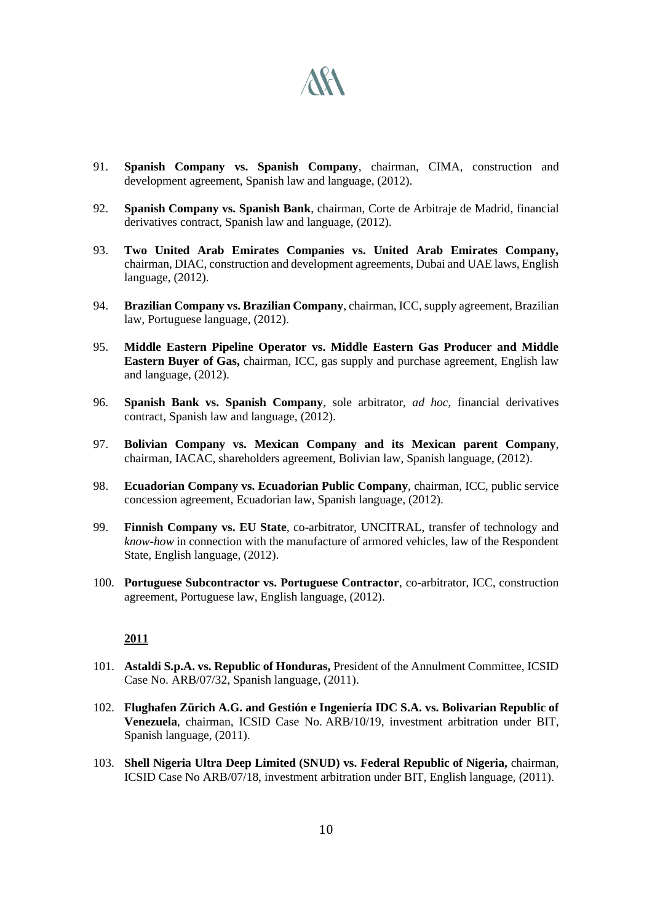# **ARA**

- 91. **Spanish Company vs. Spanish Company**, chairman, CIMA, construction and development agreement, Spanish law and language, (2012).
- 92. **Spanish Company vs. Spanish Bank**, chairman, Corte de Arbitraje de Madrid, financial derivatives contract, Spanish law and language, (2012).
- 93. **Two United Arab Emirates Companies vs. United Arab Emirates Company,**  chairman, DIAC, construction and development agreements, Dubai and UAE laws, English language, (2012).
- 94. **Brazilian Company vs. Brazilian Company**, chairman, ICC, supply agreement, Brazilian law, Portuguese language, (2012).
- 95. **Middle Eastern Pipeline Operator vs. Middle Eastern Gas Producer and Middle Eastern Buyer of Gas,** chairman, ICC, gas supply and purchase agreement, English law and language, (2012).
- 96. **Spanish Bank vs. Spanish Company**, sole arbitrator, *ad hoc*, financial derivatives contract, Spanish law and language, (2012).
- 97. **Bolivian Company vs. Mexican Company and its Mexican parent Company**, chairman, IACAC, shareholders agreement, Bolivian law, Spanish language, (2012).
- 98. **Ecuadorian Company vs. Ecuadorian Public Company**, chairman, ICC, public service concession agreement, Ecuadorian law, Spanish language, (2012).
- 99. **Finnish Company vs. EU State**, co-arbitrator, UNCITRAL, transfer of technology and *know-how* in connection with the manufacture of armored vehicles, law of the Respondent State, English language, (2012).
- 100. **Portuguese Subcontractor vs. Portuguese Contractor**, co-arbitrator, ICC, construction agreement, Portuguese law, English language, (2012).

- 101. **Astaldi S.p.A. vs. Republic of Honduras,** President of the Annulment Committee, ICSID Case No. ARB/07/32, Spanish language, (2011).
- 102. **Flughafen Zürich A.G. and Gestión e Ingeniería IDC S.A. vs. Bolivarian Republic of Venezuela**, chairman, ICSID Case No. ARB/10/19, investment arbitration under BIT, Spanish language, (2011).
- 103. **Shell Nigeria Ultra Deep Limited (SNUD) vs. Federal Republic of Nigeria,** chairman, ICSID Case No ARB/07/18, investment arbitration under BIT, English language, (2011).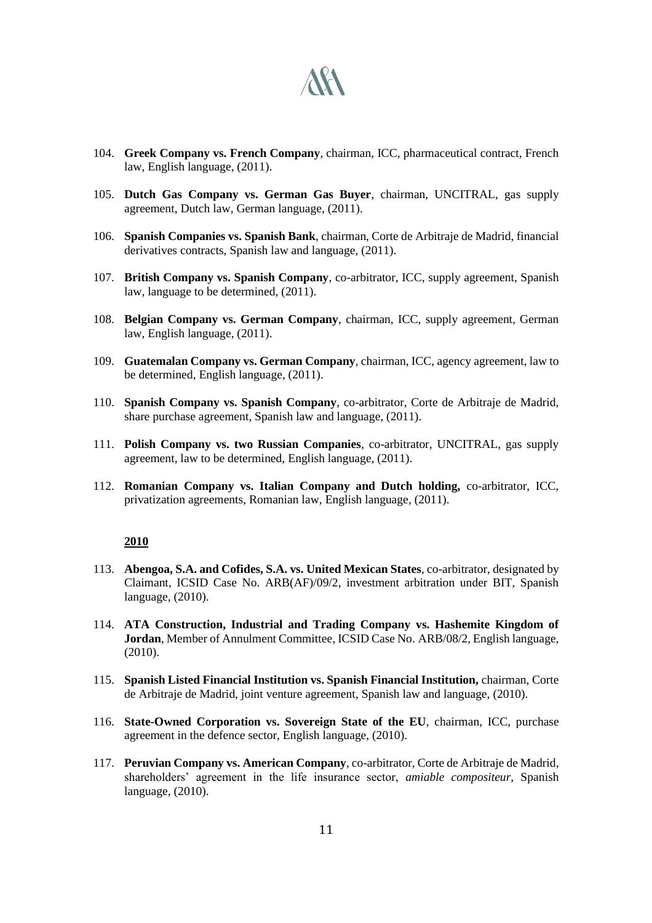

- 104. **Greek Company vs. French Company**, chairman, ICC, pharmaceutical contract, French law, English language, (2011).
- 105. **Dutch Gas Company vs. German Gas Buyer**, chairman, UNCITRAL, gas supply agreement, Dutch law, German language, (2011).
- 106. **Spanish Companies vs. Spanish Bank**, chairman, Corte de Arbitraje de Madrid, financial derivatives contracts, Spanish law and language, (2011).
- 107. **British Company vs. Spanish Company**, co-arbitrator, ICC, supply agreement, Spanish law, language to be determined, (2011).
- 108. **Belgian Company vs. German Company**, chairman, ICC, supply agreement, German law, English language, (2011).
- 109. **Guatemalan Company vs. German Company**, chairman, ICC, agency agreement, law to be determined, English language, (2011).
- 110. **Spanish Company vs. Spanish Company**, co-arbitrator, Corte de Arbitraje de Madrid, share purchase agreement, Spanish law and language, (2011).
- 111. **Polish Company vs. two Russian Companies**, co-arbitrator, UNCITRAL, gas supply agreement, law to be determined, English language, (2011).
- 112. **Romanian Company vs. Italian Company and Dutch holding,** co-arbitrator, ICC, privatization agreements, Romanian law, English language, (2011).

- 113. **Abengoa, S.A. and Cofides, S.A. vs. United Mexican States**, co-arbitrator, designated by Claimant, ICSID Case No. ARB(AF)/09/2, investment arbitration under BIT, Spanish language, (2010).
- 114. **ATA Construction, Industrial and Trading Company vs. Hashemite Kingdom of Jordan**, Member of Annulment Committee, ICSID Case No. ARB/08/2, English language, (2010).
- 115. **Spanish Listed Financial Institution vs. Spanish Financial Institution,** chairman, Corte de Arbitraje de Madrid, joint venture agreement, Spanish law and language, (2010).
- 116. **State-Owned Corporation vs. Sovereign State of the EU**, chairman, ICC, purchase agreement in the defence sector, English language, (2010).
- 117. **Peruvian Company vs. American Company**, co-arbitrator, Corte de Arbitraje de Madrid, shareholders' agreement in the life insurance sector, *amiable compositeur,* Spanish language, (2010).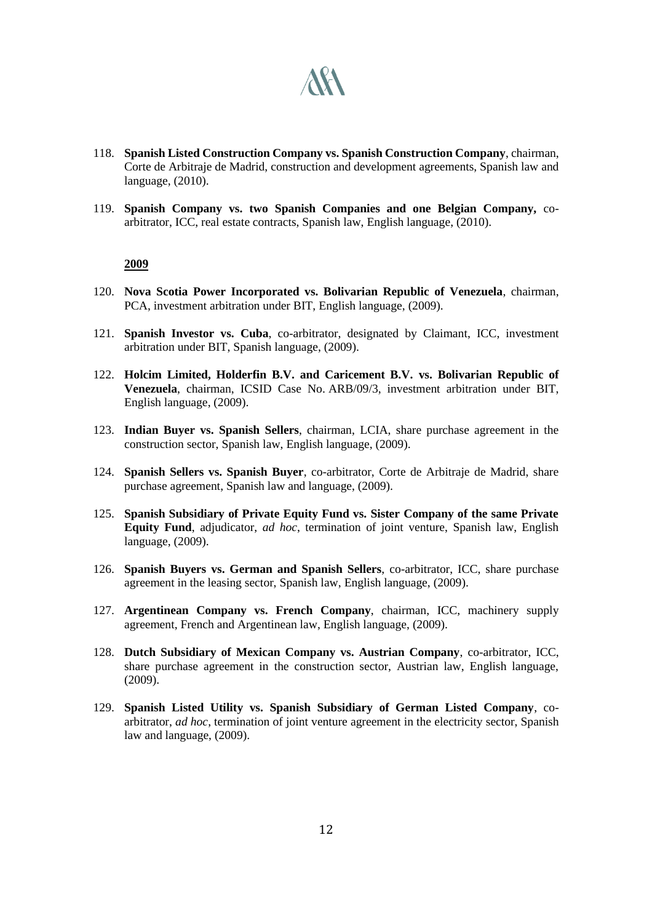

- 118. **Spanish Listed Construction Company vs. Spanish Construction Company**, chairman, Corte de Arbitraje de Madrid, construction and development agreements, Spanish law and language, (2010).
- 119. **Spanish Company vs. two Spanish Companies and one Belgian Company,** coarbitrator, ICC, real estate contracts, Spanish law, English language, (2010).

- 120. **Nova Scotia Power Incorporated vs. Bolivarian Republic of Venezuela**, chairman, PCA, investment arbitration under BIT, English language, (2009).
- 121. **Spanish Investor vs. Cuba**, co-arbitrator, designated by Claimant, ICC, investment arbitration under BIT, Spanish language, (2009).
- 122. **Holcim Limited, Holderfin B.V. and Caricement B.V. vs. Bolivarian Republic of Venezuela**, chairman, ICSID Case No. ARB/09/3, investment arbitration under BIT, English language, (2009).
- 123. **Indian Buyer vs. Spanish Sellers**, chairman, LCIA, share purchase agreement in the construction sector, Spanish law, English language, (2009).
- 124. **Spanish Sellers vs. Spanish Buyer**, co-arbitrator, Corte de Arbitraje de Madrid, share purchase agreement, Spanish law and language, (2009).
- 125. **Spanish Subsidiary of Private Equity Fund vs. Sister Company of the same Private Equity Fund**, adjudicator, *ad hoc*, termination of joint venture, Spanish law, English language, (2009).
- 126. **Spanish Buyers vs. German and Spanish Sellers**, co-arbitrator, ICC, share purchase agreement in the leasing sector, Spanish law, English language, (2009).
- 127. **Argentinean Company vs. French Company**, chairman, ICC, machinery supply agreement, French and Argentinean law, English language, (2009).
- 128. **Dutch Subsidiary of Mexican Company vs. Austrian Company**, co-arbitrator, ICC, share purchase agreement in the construction sector, Austrian law, English language, (2009).
- 129. **Spanish Listed Utility vs. Spanish Subsidiary of German Listed Company**, coarbitrator, *ad hoc*, termination of joint venture agreement in the electricity sector, Spanish law and language, (2009).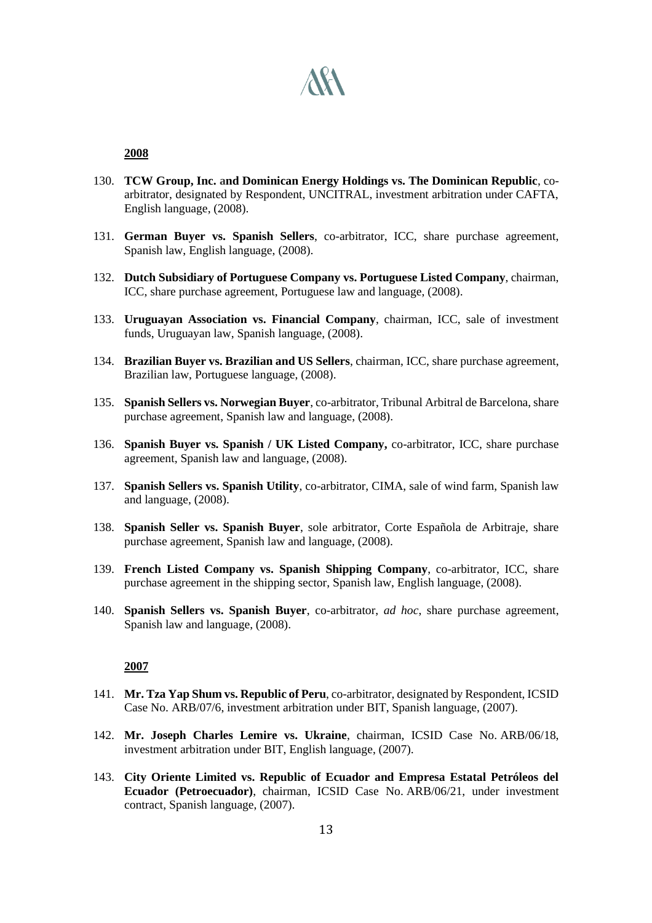

- 130. **TCW Group, Inc. and Dominican Energy Holdings vs. The Dominican Republic**, coarbitrator, designated by Respondent, UNCITRAL, investment arbitration under CAFTA, English language, (2008).
- 131. **German Buyer vs. Spanish Sellers**, co-arbitrator, ICC, share purchase agreement, Spanish law, English language, (2008).
- 132. **Dutch Subsidiary of Portuguese Company vs. Portuguese Listed Company**, chairman, ICC, share purchase agreement, Portuguese law and language, (2008).
- 133. **Uruguayan Association vs. Financial Company**, chairman, ICC, sale of investment funds, Uruguayan law, Spanish language, (2008).
- 134. **Brazilian Buyer vs. Brazilian and US Sellers**, chairman, ICC, share purchase agreement, Brazilian law, Portuguese language, (2008).
- 135. **Spanish Sellers vs. Norwegian Buyer**, co-arbitrator, Tribunal Arbitral de Barcelona, share purchase agreement, Spanish law and language, (2008).
- 136. **Spanish Buyer vs. Spanish / UK Listed Company,** co-arbitrator, ICC, share purchase agreement, Spanish law and language, (2008).
- 137. **Spanish Sellers vs. Spanish Utility**, co-arbitrator, CIMA, sale of wind farm, Spanish law and language, (2008).
- 138. **Spanish Seller vs. Spanish Buyer**, sole arbitrator, Corte Española de Arbitraje, share purchase agreement, Spanish law and language, (2008).
- 139. **French Listed Company vs. Spanish Shipping Company**, co-arbitrator, ICC, share purchase agreement in the shipping sector, Spanish law, English language, (2008).
- 140. **Spanish Sellers vs. Spanish Buyer**, co-arbitrator, *ad hoc*, share purchase agreement, Spanish law and language, (2008).

- 141. **Mr. Tza Yap Shum vs. Republic of Peru**, co-arbitrator, designated by Respondent, ICSID Case No. ARB/07/6, investment arbitration under BIT, Spanish language, (2007).
- 142. **Mr. Joseph Charles Lemire vs. Ukraine**, chairman, ICSID Case No. ARB/06/18, investment arbitration under BIT, English language, (2007).
- 143. **City Oriente Limited vs. Republic of Ecuador and Empresa Estatal Petróleos del Ecuador (Petroecuador)**, chairman, ICSID Case No. ARB/06/21, under investment contract, Spanish language, (2007).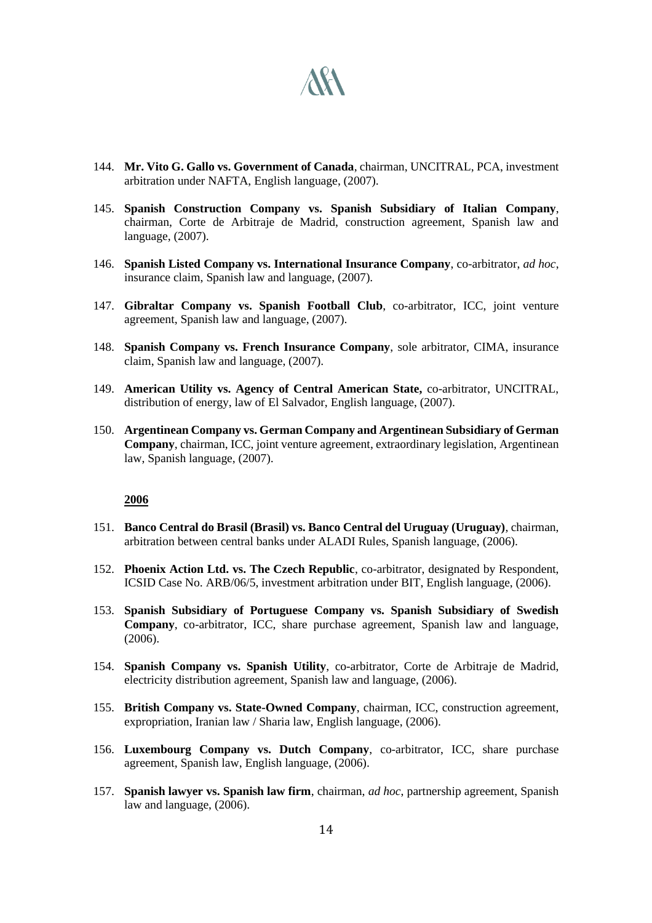

- 144. **Mr. Vito G. Gallo vs. Government of Canada**, chairman, UNCITRAL, PCA, investment arbitration under NAFTA, English language, (2007).
- 145. **Spanish Construction Company vs. Spanish Subsidiary of Italian Company**, chairman, Corte de Arbitraje de Madrid, construction agreement, Spanish law and language, (2007).
- 146. **Spanish Listed Company vs. International Insurance Company**, co-arbitrator, *ad hoc*, insurance claim, Spanish law and language, (2007).
- 147. **Gibraltar Company vs. Spanish Football Club**, co-arbitrator, ICC, joint venture agreement, Spanish law and language, (2007).
- 148. **Spanish Company vs. French Insurance Company**, sole arbitrator, CIMA, insurance claim, Spanish law and language, (2007).
- 149. **American Utility vs. Agency of Central American State,** co-arbitrator, UNCITRAL, distribution of energy, law of El Salvador, English language, (2007).
- 150. **Argentinean Company vs. German Company and Argentinean Subsidiary of German Company**, chairman, ICC, joint venture agreement, extraordinary legislation, Argentinean law, Spanish language, (2007).

- 151. **Banco Central do Brasil (Brasil) vs. Banco Central del Uruguay (Uruguay)**, chairman, arbitration between central banks under ALADI Rules, Spanish language, (2006).
- 152. **Phoenix Action Ltd. vs. The Czech Republic**, co-arbitrator, designated by Respondent, ICSID Case No. ARB/06/5, investment arbitration under BIT, English language, (2006).
- 153. **Spanish Subsidiary of Portuguese Company vs. Spanish Subsidiary of Swedish Company**, co-arbitrator, ICC, share purchase agreement, Spanish law and language, (2006).
- 154. **Spanish Company vs. Spanish Utility**, co-arbitrator, Corte de Arbitraje de Madrid, electricity distribution agreement, Spanish law and language, (2006).
- 155. **British Company vs. State-Owned Company**, chairman, ICC, construction agreement, expropriation, Iranian law / Sharia law, English language, (2006).
- 156. **Luxembourg Company vs. Dutch Company**, co-arbitrator, ICC, share purchase agreement, Spanish law, English language, (2006).
- 157. **Spanish lawyer vs. Spanish law firm**, chairman, *ad hoc*, partnership agreement, Spanish law and language, (2006).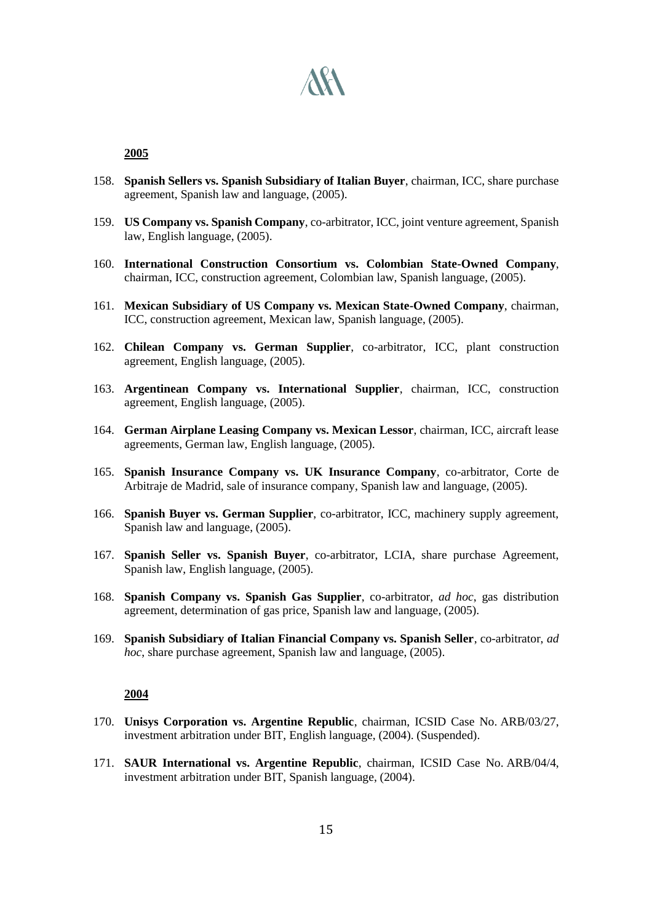

- 158. **Spanish Sellers vs. Spanish Subsidiary of Italian Buyer**, chairman, ICC, share purchase agreement, Spanish law and language, (2005).
- 159. **US Company vs. Spanish Company**, co-arbitrator, ICC, joint venture agreement, Spanish law, English language, (2005).
- 160. **International Construction Consortium vs. Colombian State-Owned Company**, chairman, ICC, construction agreement, Colombian law, Spanish language, (2005).
- 161. **Mexican Subsidiary of US Company vs. Mexican State-Owned Company**, chairman, ICC, construction agreement, Mexican law, Spanish language, (2005).
- 162. **Chilean Company vs. German Supplier**, co-arbitrator, ICC, plant construction agreement, English language, (2005).
- 163. **Argentinean Company vs. International Supplier**, chairman, ICC, construction agreement, English language, (2005).
- 164. **German Airplane Leasing Company vs. Mexican Lessor**, chairman, ICC, aircraft lease agreements, German law, English language, (2005).
- 165. **Spanish Insurance Company vs. UK Insurance Company**, co-arbitrator, Corte de Arbitraje de Madrid, sale of insurance company, Spanish law and language, (2005).
- 166. **Spanish Buyer vs. German Supplier**, co-arbitrator, ICC, machinery supply agreement, Spanish law and language, (2005).
- 167. **Spanish Seller vs. Spanish Buyer**, co-arbitrator, LCIA, share purchase Agreement, Spanish law, English language, (2005).
- 168. **Spanish Company vs. Spanish Gas Supplier**, co-arbitrator, *ad hoc*, gas distribution agreement, determination of gas price, Spanish law and language, (2005).
- 169. **Spanish Subsidiary of Italian Financial Company vs. Spanish Seller**, co-arbitrator, *ad hoc*, share purchase agreement, Spanish law and language, (2005).

- 170. **Unisys Corporation vs. Argentine Republic**, chairman, ICSID Case No. ARB/03/27, investment arbitration under BIT, English language, (2004). (Suspended).
- 171. **SAUR International vs. Argentine Republic**, chairman, ICSID Case No. ARB/04/4, investment arbitration under BIT, Spanish language, (2004).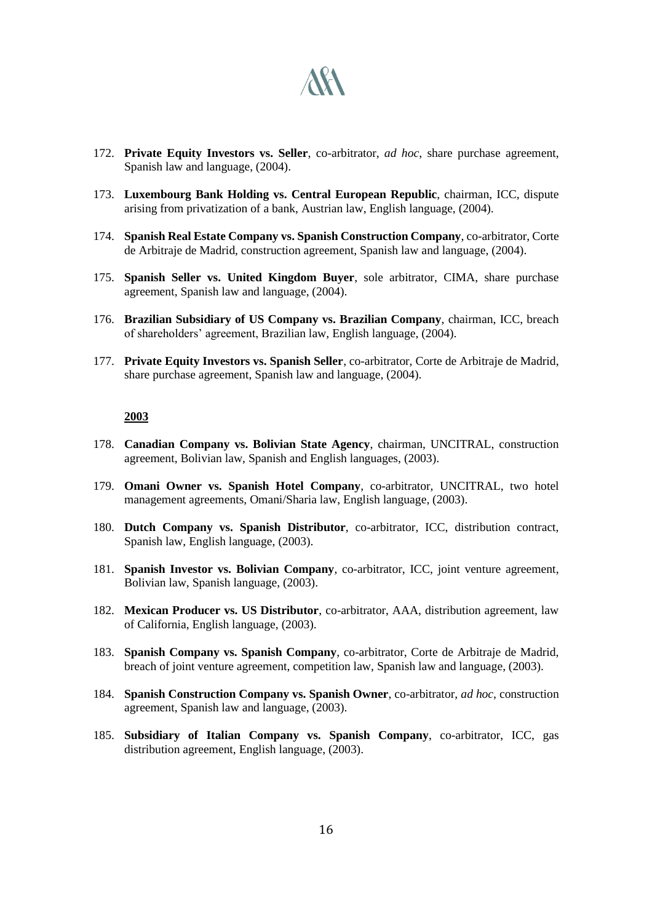

- 172. **Private Equity Investors vs. Seller**, co-arbitrator, *ad hoc*, share purchase agreement, Spanish law and language, (2004).
- 173. **Luxembourg Bank Holding vs. Central European Republic**, chairman, ICC, dispute arising from privatization of a bank, Austrian law, English language, (2004).
- 174. **Spanish Real Estate Company vs. Spanish Construction Company**, co-arbitrator, Corte de Arbitraje de Madrid, construction agreement, Spanish law and language, (2004).
- 175. **Spanish Seller vs. United Kingdom Buyer**, sole arbitrator, CIMA, share purchase agreement, Spanish law and language, (2004).
- 176. **Brazilian Subsidiary of US Company vs. Brazilian Company**, chairman, ICC, breach of shareholders' agreement, Brazilian law, English language, (2004).
- 177. **Private Equity Investors vs. Spanish Seller**, co-arbitrator, Corte de Arbitraje de Madrid, share purchase agreement, Spanish law and language, (2004).

- 178. **Canadian Company vs. Bolivian State Agency**, chairman, UNCITRAL, construction agreement, Bolivian law, Spanish and English languages, (2003).
- 179. **Omani Owner vs. Spanish Hotel Company**, co-arbitrator, UNCITRAL, two hotel management agreements, Omani/Sharia law, English language, (2003).
- 180. **Dutch Company vs. Spanish Distributor**, co-arbitrator, ICC, distribution contract, Spanish law, English language, (2003).
- 181. **Spanish Investor vs. Bolivian Company**, co-arbitrator, ICC, joint venture agreement, Bolivian law, Spanish language, (2003).
- 182. **Mexican Producer vs. US Distributor**, co-arbitrator, AAA, distribution agreement, law of California, English language, (2003).
- 183. **Spanish Company vs. Spanish Company**, co-arbitrator, Corte de Arbitraje de Madrid, breach of joint venture agreement, competition law, Spanish law and language, (2003).
- 184. **Spanish Construction Company vs. Spanish Owner**, co-arbitrator, *ad hoc*, construction agreement, Spanish law and language, (2003).
- 185. **Subsidiary of Italian Company vs. Spanish Company**, co-arbitrator, ICC, gas distribution agreement, English language, (2003).